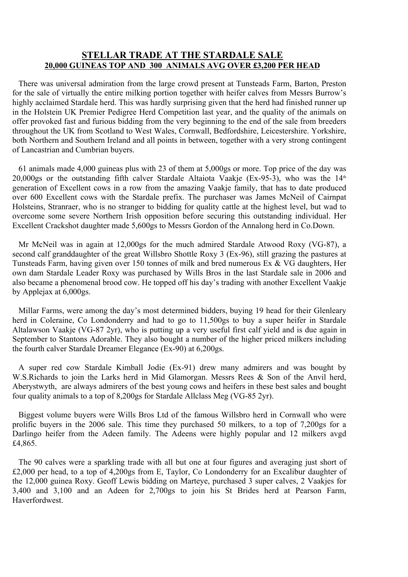## **STELLAR TRADE AT THE STARDALE SALE 20,000 GUINEAS TOP AND 300 ANIMALS AVG OVER £3,200 PER HEAD**

There was universal admiration from the large crowd present at Tunsteads Farm, Barton, Preston for the sale of virtually the entire milking portion together with heifer calves from Messrs Burrow's highly acclaimed Stardale herd. This was hardly surprising given that the herd had finished runner up in the Holstein UK Premier Pedigree Herd Competition last year, and the quality of the animals on offer provoked fast and furious bidding from the very beginning to the end of the sale from breeders throughout the UK from Scotland to West Wales, Cornwall, Bedfordshire, Leicestershire. Yorkshire, both Northern and Southern Ireland and all points in between, together with a very strong contingent of Lancastrian and Cumbrian buyers.

61 animals made 4,000 guineas plus with 23 of them at 5,000gs or more. Top price of the day was 20,000gs or the outstanding fifth calver Stardale Altaiota Vaakje (Ex-95-3), who was the  $14<sup>th</sup>$ generation of Excellent cows in a row from the amazing Vaakje family, that has to date produced over 600 Excellent cows with the Stardale prefix. The purchaser was James McNeil of Cairnpat Holsteins, Stranraer, who is no stranger to bidding for quality cattle at the highest level, but wad to overcome some severe Northern Irish opposition before securing this outstanding individual. Her Excellent Crackshot daughter made 5,600gs to Messrs Gordon of the Annalong herd in Co.Down.

Mr McNeil was in again at 12,000gs for the much admired Stardale Atwood Roxy (VG-87), a second calf granddaughter of the great Willsbro Shottle Roxy 3 (Ex-96), still grazing the pastures at Tunsteads Farm, having given over 150 tonnes of milk and bred numerous Ex & VG daughters, Her own dam Stardale Leader Roxy was purchased by Wills Bros in the last Stardale sale in 2006 and also became a phenomenal brood cow. He topped off his day's trading with another Excellent Vaakje by Applejax at 6,000gs.

Millar Farms, were among the day's most determined bidders, buying 19 head for their Glenleary herd in Coleraine, Co Londonderry and had to go to 11,500gs to buy a super heifer in Stardale Altalawson Vaakje (VG-87 2yr), who is putting up a very useful first calf yield and is due again in September to Stantons Adorable. They also bought a number of the higher priced milkers including the fourth calver Stardale Dreamer Elegance (Ex-90) at 6,200gs.

A super red cow Stardale Kimball Jodie (Ex-91) drew many admirers and was bought by W.S.Richards to join the Larks herd in Mid Glamorgan. Messrs Rees & Son of the Anvil herd, Aberystwyth, are always admirers of the best young cows and heifers in these best sales and bought four quality animals to a top of 8,200gs for Stardale Allclass Meg (VG-85 2yr).

Biggest volume buyers were Wills Bros Ltd of the famous Willsbro herd in Cornwall who were prolific buyers in the 2006 sale. This time they purchased 50 milkers, to a top of 7,200gs for a Darlingo heifer from the Adeen family. The Adeens were highly popular and 12 milkers avgd £4,865.

The 90 calves were a sparkling trade with all but one at four figures and averaging just short of £2,000 per head, to a top of 4,200gs from E, Taylor, Co Londonderry for an Excalibur daughter of the 12,000 guinea Roxy. Geoff Lewis bidding on Marteye, purchased 3 super calves, 2 Vaakjes for 3,400 and 3,100 and an Adeen for 2,700gs to join his St Brides herd at Pearson Farm, Haverfordwest.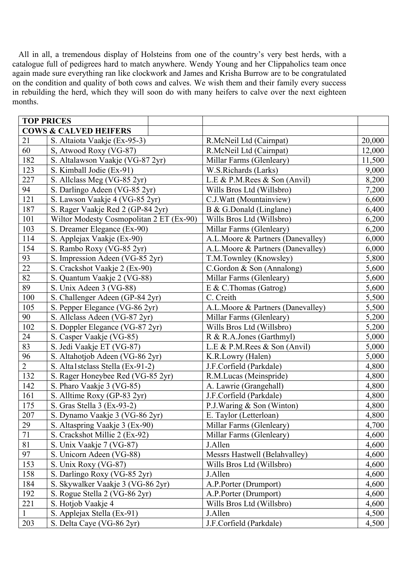All in all, a tremendous display of Holsteins from one of the country's very best herds, with a catalogue full of pedigrees hard to match anywhere. Wendy Young and her Clippaholics team once again made sure everything ran like clockwork and James and Krisha Burrow are to be congratulated on the condition and quality of both cows and calves. We wish them and their family every success in rebuilding the herd, which they will soon do with many heifers to calve over the next eighteen months.

|              | <b>TOP PRICES</b>                        |  |                                   |        |
|--------------|------------------------------------------|--|-----------------------------------|--------|
|              | <b>COWS &amp; CALVED HEIFERS</b>         |  |                                   |        |
| 21           | S. Altaiota Vaakje (Ex-95-3)             |  | R.McNeil Ltd (Cairnpat)           | 20,000 |
| 60           | S, Atwood Roxy (VG-87)                   |  | R.McNeil Ltd (Cairnpat)           | 12,000 |
| 182          | S. Altalawson Vaakje (VG-87 2yr)         |  | Millar Farms (Glenleary)          | 11,500 |
| 123          | S. Kimball Jodie (Ex-91)                 |  | W.S.Richards (Larks)              | 9,000  |
| 227          | S. Allclass Meg (VG-85 2yr)              |  | L.E & P.M.Rees & Son (Anvil)      | 8,200  |
| 94           | S. Darlingo Adeen (VG-85 2yr)            |  | Wills Bros Ltd (Willsbro)         | 7,200  |
| 121          | S. Lawson Vaakje 4 (VG-85 2yr)           |  | C.J.Watt (Mountainview)           | 6,600  |
| 187          | S. Rager Vaakje Red 2 (GP-84 2yr)        |  | B & G.Donald (Linglane)           | 6,400  |
| 101          | Wiltor Modesty Cosmopolitan 2 ET (Ex-90) |  | Wills Bros Ltd (Willsbro)         | 6,200  |
| 103          | S. Dreamer Elegance (Ex-90)              |  | Millar Farms (Glenleary)          | 6,200  |
| 114          | S. Applejax Vaakje (Ex-90)               |  | A.L.Moore & Partners (Danevalley) | 6,000  |
| 154          | S. Rambo Roxy (VG-85 2yr)                |  | A.L.Moore & Partners (Danevalley) | 6,000  |
| 93           | S. Impression Adeen (VG-85 2yr)          |  | T.M.Townley (Knowsley)            | 5,800  |
| 22           | S. Crackshot Vaakje 2 (Ex-90)            |  | C.Gordon & Son (Annalong)         | 5,600  |
| 82           | S. Quantum Vaakje 2 (VG-88)              |  | Millar Farms (Glenleary)          | 5,600  |
| 89           | S. Unix Adeen 3 (VG-88)                  |  | $E & C$ . Thomas (Gatrog)         | 5,600  |
| 100          | S. Challenger Adeen (GP-84 2yr)          |  | C. Creith                         | 5,500  |
| 105          | S. Pepper Elegance (VG-86 2yr)           |  | A.L.Moore & Partners (Danevalley) | 5,500  |
| 90           | S. Allclass Adeen (VG-87 2yr)            |  | Millar Farms (Glenleary)          | 5,200  |
| 102          | S. Doppler Elegance (VG-87 2yr)          |  | Wills Bros Ltd (Willsbro)         | 5,200  |
| 24           | S. Casper Vaakje (VG-85)                 |  | R & R.A.Jones (Garthmyl)          | 5,000  |
| 83           | S. Jedi Vaakje ET (VG-87)                |  | L.E & P.M.Rees & Son (Anvil)      | 5,000  |
| 96           | S. Altahotjob Adeen (VG-86 2yr)          |  | K.R.Lowry (Halen)                 | 5,000  |
| $\sqrt{2}$   | S. Alta1stclass Stella (Ex-91-2)         |  | J.F.Corfield (Parkdale)           | 4,800  |
| 132          | S. Rager Honeybee Red (VG-85 2yr)        |  | R.M.Lucas (Meinspride)            | 4,800  |
| 142          | S. Pharo Vaakje 3 (VG-85)                |  | A. Lawrie (Grangehall)            | 4,800  |
| 161          | S. Alltime Roxy (GP-83 2yr)              |  | J.F.Corfield (Parkdale)           | 4,800  |
| 175          | S. Gras Stella 3 (Ex-93-2)               |  | P.J.Waring & Son (Winton)         | 4,800  |
| 207          | S. Dynamo Vaakje 3 (VG-86 2yr)           |  | E. Taylor (Letterloan)            | 4,800  |
| 29           | S. Altaspring Vaakje 3 (Ex-90)           |  | Millar Farms (Glenleary)          | 4,700  |
| 71           | S. Crackshot Millie 2 (Ex-92)            |  | Millar Farms (Glenleary)          | 4,600  |
| 81           | S. Unix Vaakje 7 (VG-87)                 |  | J.Allen                           | 4,600  |
| 97           | S. Unicorn Adeen (VG-88)                 |  | Messrs Hastwell (Belahvalley)     | 4,600  |
| 153          | S. Unix Roxy (VG-87)                     |  | Wills Bros Ltd (Willsbro)         | 4,600  |
| 158          | S. Darlingo Roxy (VG-85 2yr)             |  | J.Allen                           | 4,600  |
| 184          | S. Skywalker Vaakje 3 (VG-86 2yr)        |  | A.P.Porter (Drumport)             | 4,600  |
| 192          | S. Rogue Stella 2 (VG-86 2yr)            |  | A.P.Porter (Drumport)             | 4,600  |
| 221          | S. Hotjob Vaakje 4                       |  | Wills Bros Ltd (Willsbro)         | 4,600  |
| $\mathbf{1}$ | S. Applejax Stella (Ex-91)               |  | J.Allen                           | 4,500  |
| 203          | S. Delta Caye (VG-86 2yr)                |  | J.F.Corfield (Parkdale)           | 4,500  |